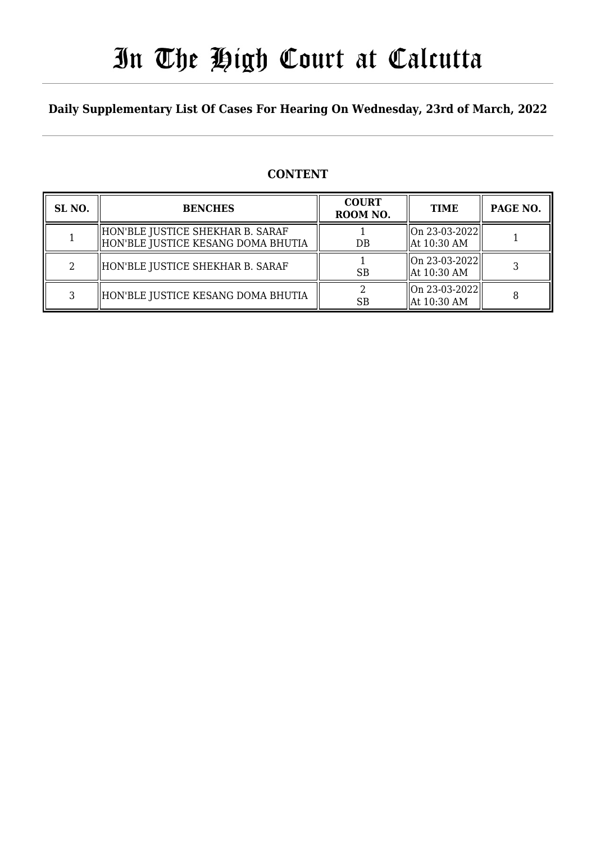# In The High Court at Calcutta

## **Daily Supplementary List Of Cases For Hearing On Wednesday, 23rd of March, 2022**

### **CONTENT**

| SL <sub>NO</sub> . | <b>BENCHES</b>                                                         | <b>COURT</b><br>ROOM NO. | <b>TIME</b>                                  | PAGE NO. |
|--------------------|------------------------------------------------------------------------|--------------------------|----------------------------------------------|----------|
|                    | HON'BLE JUSTICE SHEKHAR B. SARAF<br>HON'BLE JUSTICE KESANG DOMA BHUTIA | $DB$                     | $ On 23-03-2022 $<br>At 10:30 AM             |          |
|                    | HON'BLE JUSTICE SHEKHAR B. SARAF                                       | <b>SB</b>                | $\vert$ On 23-03-2022 $\vert$<br>At 10:30 AM |          |
|                    | HON'BLE JUSTICE KESANG DOMA BHUTIA                                     | <b>SB</b>                | $ On 23-03-2022 $<br>At 10:30 AM             |          |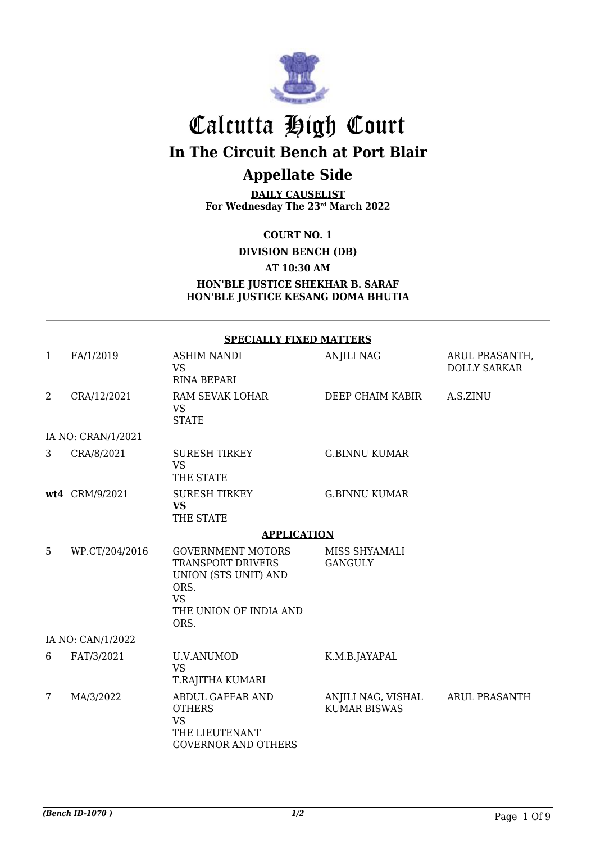

## Calcutta High Court **In The Circuit Bench at Port Blair Appellate Side**

**DAILY CAUSELIST For Wednesday The 23rd March 2022**

**COURT NO. 1**

**DIVISION BENCH (DB)**

**AT 10:30 AM**

#### **HON'BLE JUSTICE SHEKHAR B. SARAF HON'BLE JUSTICE KESANG DOMA BHUTIA**

|                | <b>SPECIALLY FIXED MATTERS</b> |                                                                                                                                     |                                           |                                       |  |  |
|----------------|--------------------------------|-------------------------------------------------------------------------------------------------------------------------------------|-------------------------------------------|---------------------------------------|--|--|
| $\mathbf{1}$   | FA/1/2019                      | <b>ASHIM NANDI</b><br><b>VS</b><br><b>RINA BEPARI</b>                                                                               | <b>ANJILI NAG</b>                         | ARUL PRASANTH,<br><b>DOLLY SARKAR</b> |  |  |
| $\overline{2}$ | CRA/12/2021                    | RAM SEVAK LOHAR<br><b>VS</b><br><b>STATE</b>                                                                                        | DEEP CHAIM KABIR                          | A.S.ZINU                              |  |  |
|                | IA NO: CRAN/1/2021             |                                                                                                                                     |                                           |                                       |  |  |
| 3              | CRA/8/2021                     | <b>SURESH TIRKEY</b><br><b>VS</b><br>THE STATE                                                                                      | <b>G.BINNU KUMAR</b>                      |                                       |  |  |
|                | wt4 CRM/9/2021                 | <b>SURESH TIRKEY</b><br><b>VS</b><br>THE STATE                                                                                      | <b>G.BINNU KUMAR</b>                      |                                       |  |  |
|                |                                | <b>APPLICATION</b>                                                                                                                  |                                           |                                       |  |  |
| 5              | WP.CT/204/2016                 | <b>GOVERNMENT MOTORS</b><br><b>TRANSPORT DRIVERS</b><br>UNION (STS UNIT) AND<br>ORS.<br><b>VS</b><br>THE UNION OF INDIA AND<br>ORS. | MISS SHYAMALI<br><b>GANGULY</b>           |                                       |  |  |
|                | IA NO: CAN/1/2022              |                                                                                                                                     |                                           |                                       |  |  |
| 6              | FAT/3/2021                     | <b>U.V.ANUMOD</b><br><b>VS</b><br>T.RAJITHA KUMARI                                                                                  | K.M.B.JAYAPAL                             |                                       |  |  |
| 7              | MA/3/2022                      | ABDUL GAFFAR AND<br><b>OTHERS</b><br><b>VS</b><br>THE LIEUTENANT<br><b>GOVERNOR AND OTHERS</b>                                      | ANJILI NAG, VISHAL<br><b>KUMAR BISWAS</b> | <b>ARUL PRASANTH</b>                  |  |  |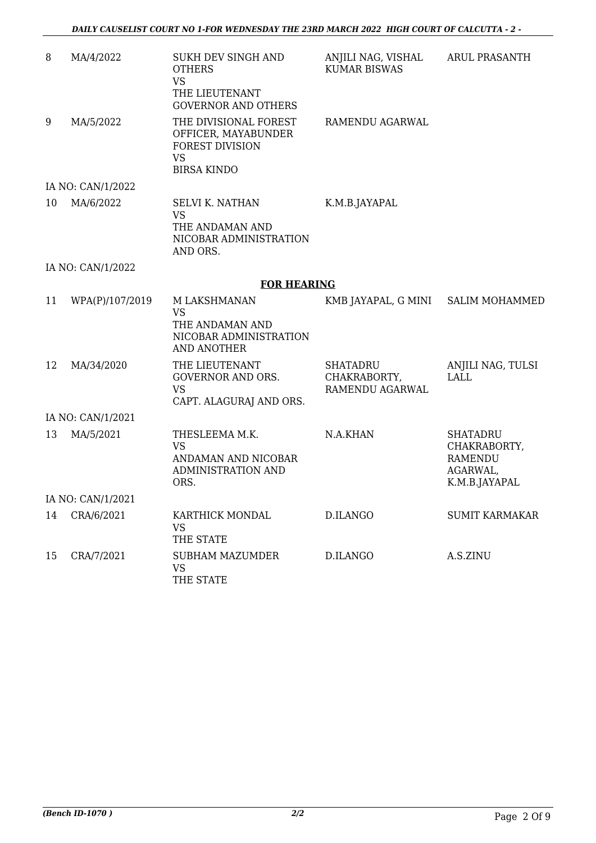| 8  | MA/4/2022         | SUKH DEV SINGH AND<br><b>OTHERS</b><br><b>VS</b><br>THE LIEUTENANT<br><b>GOVERNOR AND OTHERS</b>          | ANJILI NAG, VISHAL<br><b>KUMAR BISWAS</b>          | <b>ARUL PRASANTH</b>                                                           |
|----|-------------------|-----------------------------------------------------------------------------------------------------------|----------------------------------------------------|--------------------------------------------------------------------------------|
| 9  | MA/5/2022         | THE DIVISIONAL FOREST<br>OFFICER, MAYABUNDER<br><b>FOREST DIVISION</b><br><b>VS</b><br><b>BIRSA KINDO</b> | RAMENDU AGARWAL                                    |                                                                                |
|    | IA NO: CAN/1/2022 |                                                                                                           |                                                    |                                                                                |
| 10 | MA/6/2022         | <b>SELVI K. NATHAN</b><br><b>VS</b><br>THE ANDAMAN AND<br>NICOBAR ADMINISTRATION<br>AND ORS.              | K.M.B.JAYAPAL                                      |                                                                                |
|    | IA NO: CAN/1/2022 |                                                                                                           |                                                    |                                                                                |
|    |                   | <b>FOR HEARING</b>                                                                                        |                                                    |                                                                                |
| 11 | WPA(P)/107/2019   | M LAKSHMANAN<br><b>VS</b><br>THE ANDAMAN AND<br>NICOBAR ADMINISTRATION<br><b>AND ANOTHER</b>              | KMB JAYAPAL, G MINI                                | <b>SALIM MOHAMMED</b>                                                          |
| 12 | MA/34/2020        | THE LIEUTENANT<br><b>GOVERNOR AND ORS.</b><br><b>VS</b><br>CAPT. ALAGURAJ AND ORS.                        | <b>SHATADRU</b><br>CHAKRABORTY,<br>RAMENDU AGARWAL | ANJILI NAG, TULSI<br><b>LALL</b>                                               |
|    | IA NO: CAN/1/2021 |                                                                                                           |                                                    |                                                                                |
| 13 | MA/5/2021         | THESLEEMA M.K.<br><b>VS</b><br>ANDAMAN AND NICOBAR<br><b>ADMINISTRATION AND</b><br>ORS.                   | N.A.KHAN                                           | <b>SHATADRU</b><br>CHAKRABORTY,<br><b>RAMENDU</b><br>AGARWAL,<br>K.M.B.JAYAPAL |
|    | IA NO: CAN/1/2021 |                                                                                                           |                                                    |                                                                                |
| 14 | CRA/6/2021        | KARTHICK MONDAL<br><b>VS</b><br>THE STATE                                                                 | D.ILANGO                                           | <b>SUMIT KARMAKAR</b>                                                          |
| 15 | CRA/7/2021        | <b>SUBHAM MAZUMDER</b><br><b>VS</b><br>THE STATE                                                          | D.ILANGO                                           | A.S.ZINU                                                                       |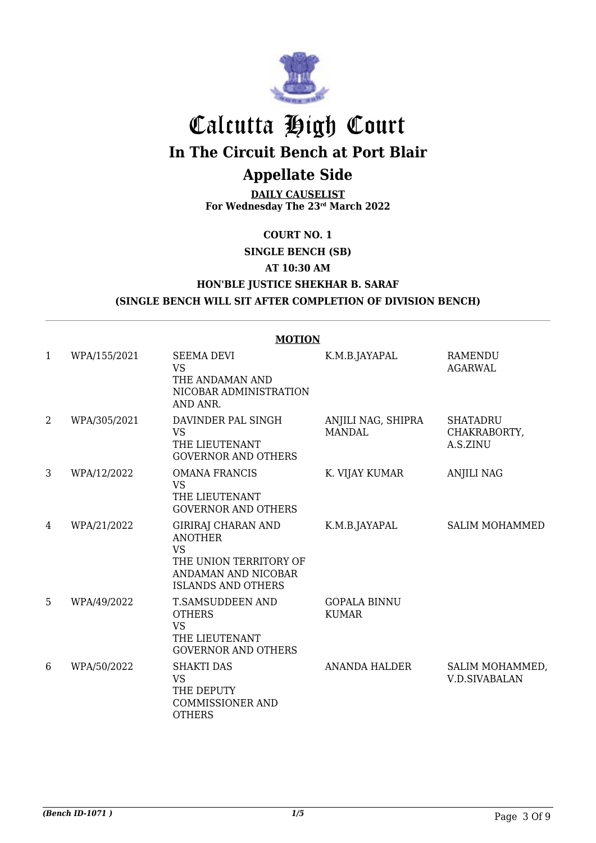

# Calcutta High Court **In The Circuit Bench at Port Blair**

## **Appellate Side**

**DAILY CAUSELIST For Wednesday The 23rd March 2022**

**COURT NO. 1**

**SINGLE BENCH (SB)**

**AT 10:30 AM**

### **HON'BLE JUSTICE SHEKHAR B. SARAF (SINGLE BENCH WILL SIT AFTER COMPLETION OF DIVISION BENCH)**

|                | <b>MOTION</b> |                                                                                                                                        |                                     |                                             |  |
|----------------|---------------|----------------------------------------------------------------------------------------------------------------------------------------|-------------------------------------|---------------------------------------------|--|
| $\mathbf{1}$   | WPA/155/2021  | <b>SEEMA DEVI</b><br><b>VS</b><br>THE ANDAMAN AND<br>NICOBAR ADMINISTRATION<br>AND ANR.                                                | K.M.B.JAYAPAL                       | <b>RAMENDU</b><br><b>AGARWAL</b>            |  |
| $\overline{2}$ | WPA/305/2021  | DAVINDER PAL SINGH<br><b>VS</b><br>THE LIEUTENANT<br><b>GOVERNOR AND OTHERS</b>                                                        | ANJILI NAG, SHIPRA<br><b>MANDAL</b> | <b>SHATADRU</b><br>CHAKRABORTY,<br>A.S.ZINU |  |
| 3              | WPA/12/2022   | <b>OMANA FRANCIS</b><br><b>VS</b><br>THE LIEUTENANT<br><b>GOVERNOR AND OTHERS</b>                                                      | K. VIJAY KUMAR                      | <b>ANJILI NAG</b>                           |  |
| 4              | WPA/21/2022   | <b>GIRIRAJ CHARAN AND</b><br><b>ANOTHER</b><br><b>VS</b><br>THE UNION TERRITORY OF<br>ANDAMAN AND NICOBAR<br><b>ISLANDS AND OTHERS</b> | K.M.B.JAYAPAL                       | <b>SALIM MOHAMMED</b>                       |  |
| 5              | WPA/49/2022   | T.SAMSUDDEEN AND<br><b>OTHERS</b><br><b>VS</b><br>THE LIEUTENANT<br><b>GOVERNOR AND OTHERS</b>                                         | <b>GOPALA BINNU</b><br><b>KUMAR</b> |                                             |  |
| 6              | WPA/50/2022   | <b>SHAKTI DAS</b><br><b>VS</b><br>THE DEPUTY<br><b>COMMISSIONER AND</b><br><b>OTHERS</b>                                               | <b>ANANDA HALDER</b>                | SALIM MOHAMMED,<br><b>V.D.SIVABALAN</b>     |  |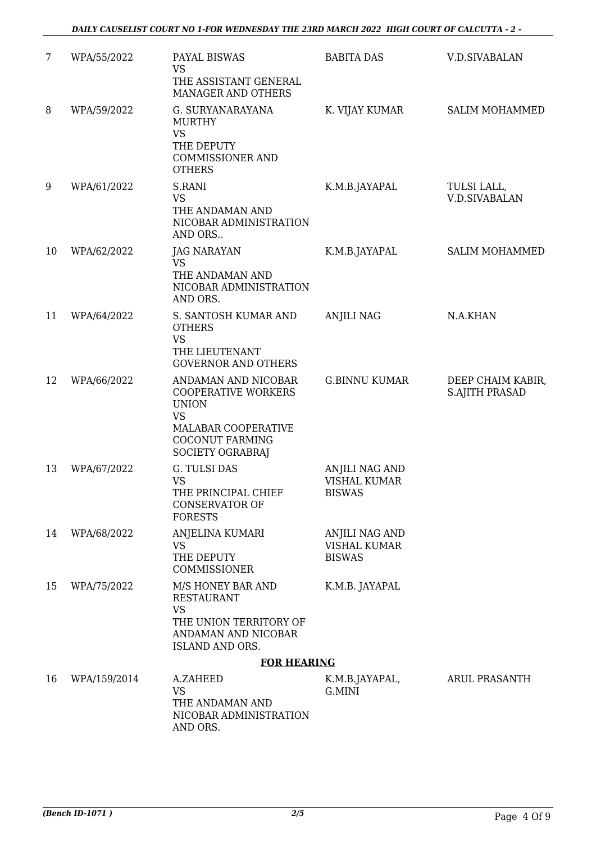| 7  | WPA/55/2022  | <b>PAYAL BISWAS</b><br><b>VS</b><br>THE ASSISTANT GENERAL<br>MANAGER AND OTHERS                                                                            | <b>BABITA DAS</b>                                             | <b>V.D.SIVABALAN</b>                       |
|----|--------------|------------------------------------------------------------------------------------------------------------------------------------------------------------|---------------------------------------------------------------|--------------------------------------------|
| 8  | WPA/59/2022  | G. SURYANARAYANA<br><b>MURTHY</b><br><b>VS</b><br>THE DEPUTY<br><b>COMMISSIONER AND</b><br><b>OTHERS</b>                                                   | K. VIJAY KUMAR                                                | SALIM MOHAMMED                             |
| 9  | WPA/61/2022  | S.RANI<br><b>VS</b><br>THE ANDAMAN AND<br>NICOBAR ADMINISTRATION<br>AND ORS                                                                                | K.M.B.JAYAPAL                                                 | TULSI LALL,<br><b>V.D.SIVABALAN</b>        |
| 10 | WPA/62/2022  | <b>JAG NARAYAN</b><br><b>VS</b><br>THE ANDAMAN AND<br>NICOBAR ADMINISTRATION<br>AND ORS.                                                                   | K.M.B.JAYAPAL                                                 | <b>SALIM MOHAMMED</b>                      |
| 11 | WPA/64/2022  | S. SANTOSH KUMAR AND<br><b>OTHERS</b><br><b>VS</b><br>THE LIEUTENANT<br><b>GOVERNOR AND OTHERS</b>                                                         | <b>ANJILI NAG</b>                                             | N.A.KHAN                                   |
| 12 | WPA/66/2022  | ANDAMAN AND NICOBAR<br><b>COOPERATIVE WORKERS</b><br><b>UNION</b><br><b>VS</b><br>MALABAR COOPERATIVE<br><b>COCONUT FARMING</b><br><b>SOCIETY OGRABRAJ</b> | <b>G.BINNU KUMAR</b>                                          | DEEP CHAIM KABIR,<br><b>S.AJITH PRASAD</b> |
| 13 | WPA/67/2022  | <b>G. TULSI DAS</b><br><b>VS</b><br>THE PRINCIPAL CHIEF<br><b>CONSERVATOR OF</b><br><b>FORESTS</b>                                                         | ANJILI NAG AND<br><b>VISHAL KUMAR</b><br><b>BISWAS</b>        |                                            |
| 14 | WPA/68/2022  | ANJELINA KUMARI<br><b>VS</b><br>THE DEPUTY<br>COMMISSIONER                                                                                                 | <b>ANJILI NAG AND</b><br><b>VISHAL KUMAR</b><br><b>BISWAS</b> |                                            |
| 15 | WPA/75/2022  | M/S HONEY BAR AND<br><b>RESTAURANT</b><br><b>VS</b><br>THE UNION TERRITORY OF<br>ANDAMAN AND NICOBAR<br>ISLAND AND ORS.                                    | K.M.B. JAYAPAL                                                |                                            |
|    |              | <b>FOR HEARING</b>                                                                                                                                         |                                                               |                                            |
| 16 | WPA/159/2014 | A.ZAHEED<br><b>VS</b><br>THE ANDAMAN AND<br>NICOBAR ADMINISTRATION<br>AND ORS.                                                                             | K.M.B.JAYAPAL,<br>G.MINI                                      | <b>ARUL PRASANTH</b>                       |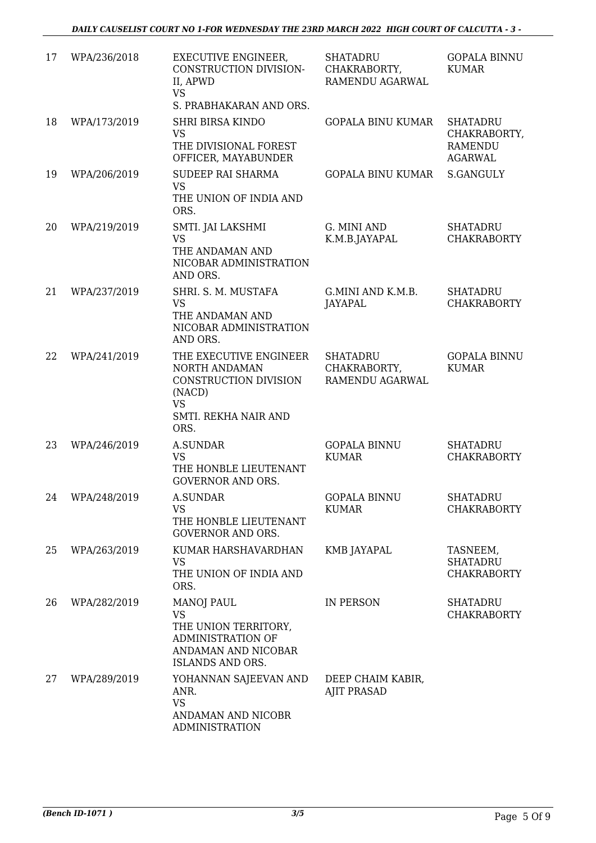| 17 | WPA/236/2018    | <b>EXECUTIVE ENGINEER,</b><br>CONSTRUCTION DIVISION-<br>II, APWD<br><b>VS</b>                                          | <b>SHATADRU</b><br>CHAKRABORTY,<br>RAMENDU AGARWAL | <b>GOPALA BINNU</b><br><b>KUMAR</b>                                 |
|----|-----------------|------------------------------------------------------------------------------------------------------------------------|----------------------------------------------------|---------------------------------------------------------------------|
|    |                 | S. PRABHAKARAN AND ORS.                                                                                                |                                                    |                                                                     |
| 18 | WPA/173/2019    | <b>SHRI BIRSA KINDO</b><br><b>VS</b><br>THE DIVISIONAL FOREST<br>OFFICER, MAYABUNDER                                   | <b>GOPALA BINU KUMAR</b>                           | <b>SHATADRU</b><br>CHAKRABORTY,<br><b>RAMENDU</b><br><b>AGARWAL</b> |
| 19 | WPA/206/2019    | <b>SUDEEP RAI SHARMA</b><br><b>VS</b>                                                                                  | GOPALA BINU KUMAR                                  | S.GANGULY                                                           |
|    |                 | THE UNION OF INDIA AND<br>ORS.                                                                                         |                                                    |                                                                     |
| 20 | WPA/219/2019    | SMTI. JAI LAKSHMI<br><b>VS</b><br>THE ANDAMAN AND<br>NICOBAR ADMINISTRATION<br>AND ORS.                                | G. MINI AND<br>K.M.B.JAYAPAL                       | <b>SHATADRU</b><br><b>CHAKRABORTY</b>                               |
| 21 | WPA/237/2019    | SHRI. S. M. MUSTAFA<br><b>VS</b><br>THE ANDAMAN AND<br>NICOBAR ADMINISTRATION                                          | G.MINI AND K.M.B.<br>JAYAPAL                       | <b>SHATADRU</b><br><b>CHAKRABORTY</b>                               |
|    |                 | AND ORS.                                                                                                               |                                                    |                                                                     |
| 22 | WPA/241/2019    | THE EXECUTIVE ENGINEER<br>NORTH ANDAMAN<br>CONSTRUCTION DIVISION<br>(NACD)<br><b>VS</b><br>SMTI. REKHA NAIR AND        | <b>SHATADRU</b><br>CHAKRABORTY,<br>RAMENDU AGARWAL | <b>GOPALA BINNU</b><br><b>KUMAR</b>                                 |
|    |                 | ORS.                                                                                                                   |                                                    |                                                                     |
| 23 | WPA/246/2019    | <b>A.SUNDAR</b><br><b>VS</b><br>THE HONBLE LIEUTENANT<br><b>GOVERNOR AND ORS.</b>                                      | <b>GOPALA BINNU</b><br><b>KUMAR</b>                | <b>SHATADRU</b><br><b>CHAKRABORTY</b>                               |
|    | 24 WPA/248/2019 | <b>A.SUNDAR</b><br>VS<br>THE HONBLE LIEUTENANT<br><b>GOVERNOR AND ORS.</b>                                             | GOPALA BINNU<br><b>KUMAR</b>                       | <b>SHATADRU</b><br><b>CHAKRABORTY</b>                               |
| 25 | WPA/263/2019    | KUMAR HARSHAVARDHAN<br><b>VS</b><br>THE UNION OF INDIA AND<br>ORS.                                                     | KMB JAYAPAL                                        | TASNEEM,<br><b>SHATADRU</b><br><b>CHAKRABORTY</b>                   |
| 26 | WPA/282/2019    | <b>MANOJ PAUL</b><br><b>VS</b><br>THE UNION TERRITORY,<br>ADMINISTRATION OF<br>ANDAMAN AND NICOBAR<br>ISLANDS AND ORS. | <b>IN PERSON</b>                                   | SHATADRU<br><b>CHAKRABORTY</b>                                      |
| 27 | WPA/289/2019    | YOHANNAN SAJEEVAN AND<br>ANR.<br><b>VS</b><br>ANDAMAN AND NICOBR<br><b>ADMINISTRATION</b>                              | DEEP CHAIM KABIR,<br><b>AJIT PRASAD</b>            |                                                                     |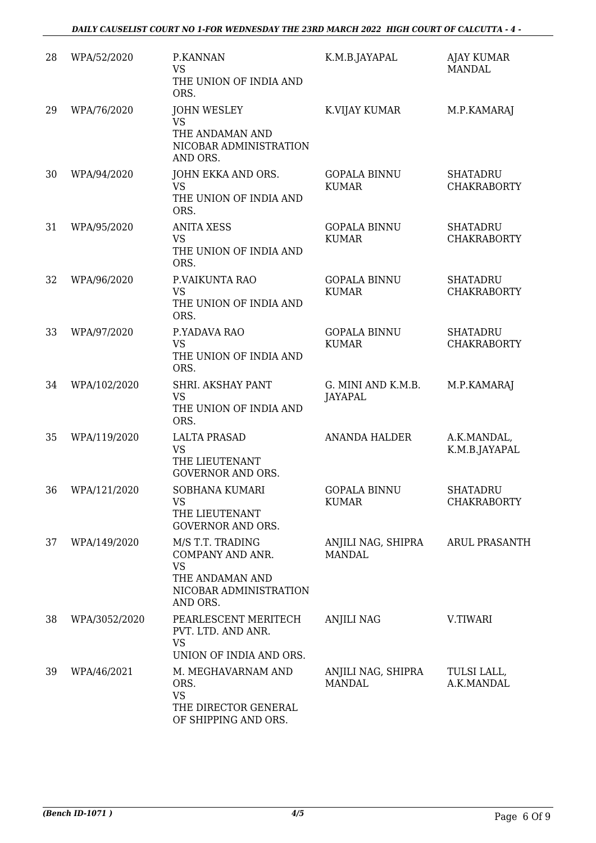| 28 | WPA/52/2020   | P.KANNAN<br><b>VS</b><br>THE UNION OF INDIA AND<br>ORS.                                                    | K.M.B.JAYAPAL                        | <b>AJAY KUMAR</b><br><b>MANDAL</b>    |
|----|---------------|------------------------------------------------------------------------------------------------------------|--------------------------------------|---------------------------------------|
| 29 | WPA/76/2020   | <b>JOHN WESLEY</b><br><b>VS</b><br>THE ANDAMAN AND<br>NICOBAR ADMINISTRATION<br>AND ORS.                   | K.VIJAY KUMAR                        | M.P.KAMARAJ                           |
| 30 | WPA/94/2020   | JOHN EKKA AND ORS.<br><b>VS</b><br>THE UNION OF INDIA AND<br>ORS.                                          | <b>GOPALA BINNU</b><br><b>KUMAR</b>  | <b>SHATADRU</b><br><b>CHAKRABORTY</b> |
| 31 | WPA/95/2020   | <b>ANITA XESS</b><br><b>VS</b><br>THE UNION OF INDIA AND<br>ORS.                                           | <b>GOPALA BINNU</b><br><b>KUMAR</b>  | <b>SHATADRU</b><br><b>CHAKRABORTY</b> |
| 32 | WPA/96/2020   | P.VAIKUNTA RAO<br><b>VS</b><br>THE UNION OF INDIA AND<br>ORS.                                              | <b>GOPALA BINNU</b><br><b>KUMAR</b>  | <b>SHATADRU</b><br><b>CHAKRABORTY</b> |
| 33 | WPA/97/2020   | P.YADAVA RAO<br><b>VS</b><br>THE UNION OF INDIA AND<br>ORS.                                                | <b>GOPALA BINNU</b><br><b>KUMAR</b>  | <b>SHATADRU</b><br><b>CHAKRABORTY</b> |
| 34 | WPA/102/2020  | SHRI. AKSHAY PANT<br><b>VS</b><br>THE UNION OF INDIA AND<br>ORS.                                           | G. MINI AND K.M.B.<br><b>JAYAPAL</b> | M.P.KAMARAJ                           |
| 35 | WPA/119/2020  | <b>LALTA PRASAD</b><br><b>VS</b><br>THE LIEUTENANT<br><b>GOVERNOR AND ORS.</b>                             | <b>ANANDA HALDER</b>                 | A.K.MANDAL,<br>K.M.B.JAYAPAL          |
| 36 | WPA/121/2020  | SOBHANA KUMARI<br><b>VS</b><br>THE LIEUTENANT<br><b>GOVERNOR AND ORS.</b>                                  | <b>GOPALA BINNU</b><br><b>KUMAR</b>  | <b>SHATADRU</b><br><b>CHAKRABORTY</b> |
| 37 | WPA/149/2020  | M/S T.T. TRADING<br>COMPANY AND ANR.<br><b>VS</b><br>THE ANDAMAN AND<br>NICOBAR ADMINISTRATION<br>AND ORS. | ANJILI NAG, SHIPRA<br><b>MANDAL</b>  | <b>ARUL PRASANTH</b>                  |
| 38 | WPA/3052/2020 | PEARLESCENT MERITECH<br>PVT. LTD. AND ANR.<br><b>VS</b><br>UNION OF INDIA AND ORS.                         | <b>ANJILI NAG</b>                    | V.TIWARI                              |
| 39 | WPA/46/2021   | M. MEGHAVARNAM AND<br>ORS.<br><b>VS</b><br>THE DIRECTOR GENERAL<br>OF SHIPPING AND ORS.                    | ANJILI NAG, SHIPRA<br><b>MANDAL</b>  | TULSI LALL,<br>A.K.MANDAL             |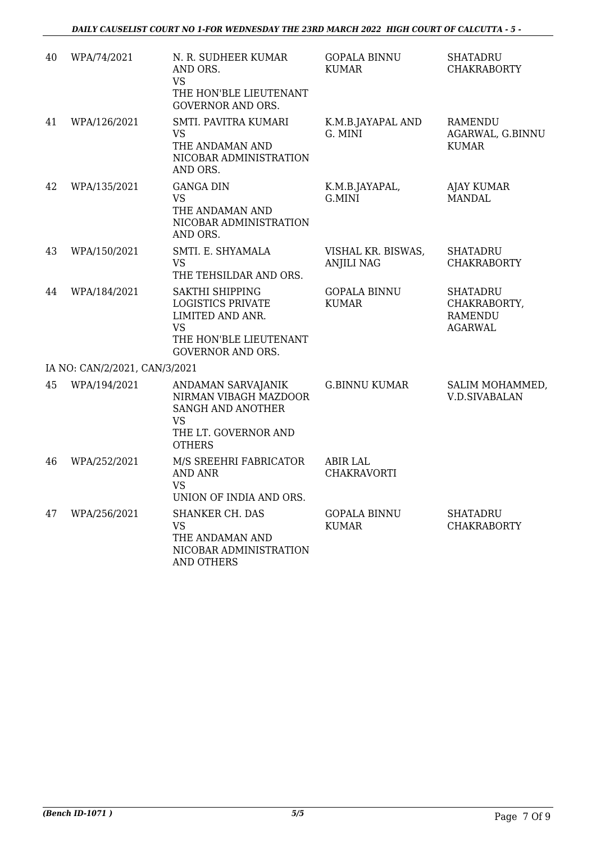| 40 | WPA/74/2021                   | N. R. SUDHEER KUMAR<br>AND ORS.<br><b>VS</b><br>THE HON'BLE LIEUTENANT<br><b>GOVERNOR AND ORS.</b>                                 | <b>GOPALA BINNU</b><br><b>KUMAR</b>     | <b>SHATADRU</b><br><b>CHAKRABORTY</b>                               |
|----|-------------------------------|------------------------------------------------------------------------------------------------------------------------------------|-----------------------------------------|---------------------------------------------------------------------|
| 41 | WPA/126/2021                  | SMTI. PAVITRA KUMARI<br>VS.<br>THE ANDAMAN AND<br>NICOBAR ADMINISTRATION<br>AND ORS.                                               | K.M.B.JAYAPAL AND<br>G. MINI            | <b>RAMENDU</b><br>AGARWAL, G.BINNU<br><b>KUMAR</b>                  |
| 42 | WPA/135/2021                  | <b>GANGA DIN</b><br><b>VS</b><br>THE ANDAMAN AND<br>NICOBAR ADMINISTRATION<br>AND ORS.                                             | K.M.B.JAYAPAL,<br>G.MINI                | <b>AJAY KUMAR</b><br>MANDAL                                         |
| 43 | WPA/150/2021                  | SMTI. E. SHYAMALA<br><b>VS</b><br>THE TEHSILDAR AND ORS.                                                                           | VISHAL KR. BISWAS,<br><b>ANJILI NAG</b> | <b>SHATADRU</b><br><b>CHAKRABORTY</b>                               |
| 44 | WPA/184/2021                  | SAKTHI SHIPPING<br><b>LOGISTICS PRIVATE</b><br>LIMITED AND ANR.<br><b>VS</b><br>THE HON'BLE LIEUTENANT<br><b>GOVERNOR AND ORS.</b> | <b>GOPALA BINNU</b><br><b>KUMAR</b>     | <b>SHATADRU</b><br>CHAKRABORTY,<br><b>RAMENDU</b><br><b>AGARWAL</b> |
|    | IA NO: CAN/2/2021, CAN/3/2021 |                                                                                                                                    |                                         |                                                                     |
| 45 | WPA/194/2021                  | ANDAMAN SARVAJANIK<br>NIRMAN VIBAGH MAZDOOR<br>SANGH AND ANOTHER<br>VS.<br>THE LT. GOVERNOR AND<br><b>OTHERS</b>                   | <b>G.BINNU KUMAR</b>                    | SALIM MOHAMMED,<br><b>V.D.SIVABALAN</b>                             |
| 46 | WPA/252/2021                  | M/S SREEHRI FABRICATOR<br><b>AND ANR</b><br><b>VS</b><br>UNION OF INDIA AND ORS.                                                   | <b>ABIR LAL</b><br>CHAKRAVORTI          |                                                                     |
| 47 | WPA/256/2021                  | SHANKER CH. DAS<br><b>VS</b><br>THE ANDAMAN AND<br>NICOBAR ADMINISTRATION<br><b>AND OTHERS</b>                                     | <b>GOPALA BINNU</b><br><b>KUMAR</b>     | <b>SHATADRU</b><br><b>CHAKRABORTY</b>                               |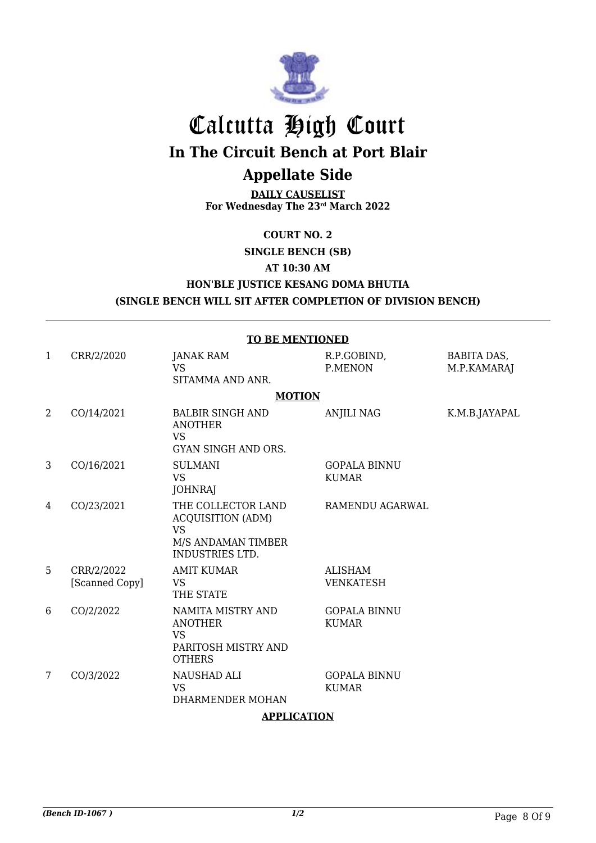

## Calcutta High Court **In The Circuit Bench at Port Blair**

## **Appellate Side**

**DAILY CAUSELIST For Wednesday The 23rd March 2022**

**COURT NO. 2**

**SINGLE BENCH (SB)**

**AT 10:30 AM**

### **HON'BLE JUSTICE KESANG DOMA BHUTIA (SINGLE BENCH WILL SIT AFTER COMPLETION OF DIVISION BENCH)**

**TO BE MENTIONED** 1 CRR/2/2020 JANAK RAM VS SITAMMA AND ANR. R.P.GOBIND, P.MENON BABITA DAS, M.P.KAMARAJ **MOTION** 2 CO/14/2021 BALBIR SINGH AND ANOTHER VS GYAN SINGH AND ORS. ANJILI NAG K.M.B.JAYAPAL 3 CO/16/2021 SULMANI VS **JOHNRAJ** GOPALA BINNU KUMAR 4 CO/23/2021 THE COLLECTOR LAND ACQUISITION (ADM) VS M/S ANDAMAN TIMBER INDUSTRIES LTD. RAMENDU AGARWAL 5 CRR/2/2022 [Scanned Copy] AMIT KUMAR VS THE STATE ALISHAM VENKATESH 6 CO/2/2022 NAMITA MISTRY AND ANOTHER VS PARITOSH MISTRY AND **OTHERS** GOPALA BINNU KUMAR 7 CO/3/2022 NAUSHAD ALI VS DHARMENDER MOHAN GOPALA BINNU KUMAR

#### **APPLICATION**